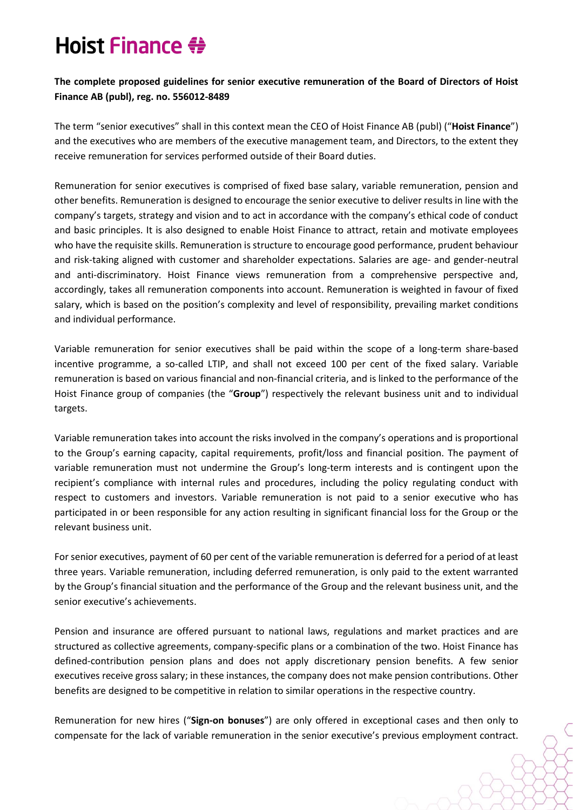## Hoist Finance #

**The complete proposed guidelines for senior executive remuneration of the Board of Directors of Hoist Finance AB (publ), reg. no. 556012-8489**

The term "senior executives" shall in this context mean the CEO of Hoist Finance AB (publ) ("**Hoist Finance**") and the executives who are members of the executive management team, and Directors, to the extent they receive remuneration for services performed outside of their Board duties.

Remuneration for senior executives is comprised of fixed base salary, variable remuneration, pension and other benefits. Remuneration is designed to encourage the senior executive to deliver results in line with the company's targets, strategy and vision and to act in accordance with the company's ethical code of conduct and basic principles. It is also designed to enable Hoist Finance to attract, retain and motivate employees who have the requisite skills. Remuneration is structure to encourage good performance, prudent behaviour and risk-taking aligned with customer and shareholder expectations. Salaries are age- and gender-neutral and anti-discriminatory. Hoist Finance views remuneration from a comprehensive perspective and, accordingly, takes all remuneration components into account. Remuneration is weighted in favour of fixed salary, which is based on the position's complexity and level of responsibility, prevailing market conditions and individual performance.

Variable remuneration for senior executives shall be paid within the scope of a long-term share-based incentive programme, a so-called LTIP, and shall not exceed 100 per cent of the fixed salary. Variable remuneration is based on various financial and non-financial criteria, and is linked to the performance of the Hoist Finance group of companies (the "**Group**") respectively the relevant business unit and to individual targets.

Variable remuneration takes into account the risks involved in the company's operations and is proportional to the Group's earning capacity, capital requirements, profit/loss and financial position. The payment of variable remuneration must not undermine the Group's long-term interests and is contingent upon the recipient's compliance with internal rules and procedures, including the policy regulating conduct with respect to customers and investors. Variable remuneration is not paid to a senior executive who has participated in or been responsible for any action resulting in significant financial loss for the Group or the relevant business unit.

For senior executives, payment of 60 per cent of the variable remuneration is deferred for a period of at least three years. Variable remuneration, including deferred remuneration, is only paid to the extent warranted by the Group's financial situation and the performance of the Group and the relevant business unit, and the senior executive's achievements.

Pension and insurance are offered pursuant to national laws, regulations and market practices and are structured as collective agreements, company-specific plans or a combination of the two. Hoist Finance has defined-contribution pension plans and does not apply discretionary pension benefits. A few senior executives receive gross salary; in these instances, the company does not make pension contributions. Other benefits are designed to be competitive in relation to similar operations in the respective country.

Remuneration for new hires ("**Sign-on bonuses**") are only offered in exceptional cases and then only to compensate for the lack of variable remuneration in the senior executive's previous employment contract.